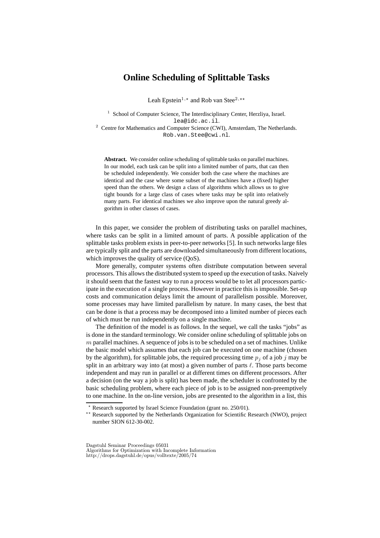## **Online Scheduling of Splittable Tasks**

Leah Epstein<sup>1,\*</sup> and Rob van Stee<sup>2,\*\*</sup>

<sup>1</sup> School of Computer Science, The Interdisciplinary Center, Herzliya, Israel.

lea@idc.ac.il.

<sup>2</sup> Centre for Mathematics and Computer Science (CWI), Amsterdam, The Netherlands. Rob.van.Stee@cwi.nl.

Abstract. We consider online scheduling of splittable tasks on parallel machines. In our model, each task can be split into a limited number of parts, that can then be scheduled independently. We consider both the case where the machines are identical and the case where some subset of the machines have a (fixed) higher speed than the others. We design a class of algorithms which allows us to give tight bounds for a large class of cases where tasks may be split into relatively many parts. For identical machines we also improve upon the natural greedy algorithm in other classes of cases.

In this paper, we consider the problem of distributing tasks on parallel machines, where tasks can be split in a limited amount of parts. A possible application of the splittable tasks problem exists in peer-to-peer networks [5]. In such networks large files are typically split and the parts are downloaded simultaneously from different locations, which improves the quality of service ( $\cos$ ).

More generally, computer systems often distribute computation between several processors. This allows the distributed system to speed up the execution of tasks. Naively it should seem that the fastest way to run a process would be to let all processors participate in the execution of a single process. However in practice this is impossible. Set-up costs and communication delays limit the amount of parallelism possible. Moreover, some processes may have limited parallelism by nature. In many cases, the best that can be done is that a process may be decomposed into a limited number of pieces each of which must be run independently on a single machine.

The definition of the model is as follows. In the sequel, we call the tasks "jobs" as is done in the standard terminology. We consider online scheduling of splittable jobs on  $m$  parallel machines. A sequence of jobs is to be scheduled on a set of machines. Unlike the basic model which assumes that each job can be executed on one machine (chosen by the algorithm), for splittable jobs, the required processing time  $p_i$  of a job j may be split in an arbitrary way into (at most) a given number of parts  $\ell$ . Those parts become independent and may run in parallel or at different times on different processors. After a decision (on the way a job is split) has been made, the scheduler is confronted by the basic scheduling problem, where each piece of job is to be assigned non-preemptively to one machine. In the on-line version, jobs are presented to the algorithm in a list, this

Dagstuhl Seminar Proceedings 05031 Algorithms for Optimization with Incomplete Information http://drops.dagstuhl.de/opus/volltexte/2005/74

<sup>?</sup> Research supported by Israel Science Foundation (grant no. 250/01).

<sup>\*\*</sup> Research supported by the Netherlands Organization for Scientific Research (NWO), project number SION 612-30-002.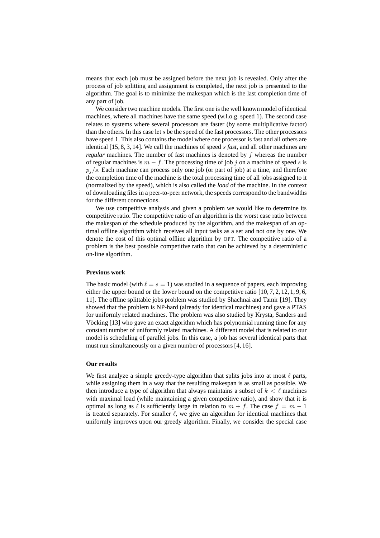means that each job must be assigned before the next job is revealed. Only after the process of job splitting and assignment is completed, the next job is presented to the algorithm. The goal is to minimize the makespan which is the last completion time of any part of job.

We consider two machine models. The first one is the well known model of identical machines, where all machines have the same speed (w.l.o.g. speed 1). The second case relates to systems where several processors are faster (by some multiplicative factor) than the others. In this case let  $s$  be the speed of the fast processors. The other processors have speed 1. This also contains the model where one processor is fast and all others are identical [15, 8, 3, 14]. We call the machines of speed s *fast*, and all other machines are *regular* machines. The number of fast machines is denoted by f whereas the number of regular machines is  $m - f$ . The processing time of job j on a machine of speed s is  $p_j/s$ . Each machine can process only one job (or part of job) at a time, and therefore the completion time of the machine is the total processing time of all jobs assigned to it (normalized by the speed), which is also called the *load* of the machine. In the context of downloading files in a peer-to-peer network, the speeds correspond to the bandwidths for the different connections.

We use competitive analysis and given a problem we would like to determine its competitive ratio. The competitive ratio of an algorithm is the worst case ratio between the makespan of the schedule produced by the algorithm, and the makespan of an optimal offline algorithm which receives all input tasks as a set and not one by one. We denote the cost of this optimal offline algorithm by OPT. The competitive ratio of a problem is the best possible competitive ratio that can be achieved by a deterministic on-line algorithm.

## **Previous work**

The basic model (with  $\ell = s = 1$ ) was studied in a sequence of papers, each improving either the upper bound or the lower bound on the competitive ratio  $[10, 7, 2, 12, 1, 9, 6,$ 11]. The offline splittable jobs problem was studied by Shachnai and Tamir [19]. They showed that the problem is NP-hard (already for identical machines) and gave a PTAS for uniformly related machines. The problem was also studied by Krysta, Sanders and Vöcking [13] who gave an exact algorithm which has polynomial running time for any constant number of uniformly related machines. A different model that is related to our model is scheduling of parallel jobs. In this case, a job has several identical parts that must run simultaneously on a given number of processors [4, 16].

## **Our results**

We first analyze a simple greedy-type algorithm that splits jobs into at most  $\ell$  parts, while assigning them in a way that the resulting makespan is as small as possible. We then introduce a type of algorithm that always maintains a subset of  $k < \ell$  machines with maximal load (while maintaining a given competitive ratio), and show that it is optimal as long as  $\ell$  is sufficiently large in relation to  $m + f$ . The case  $f = m - 1$ is treated separately. For smaller  $\ell$ , we give an algorithm for identical machines that uniformly improves upon our greedy algorithm. Finally, we consider the special case